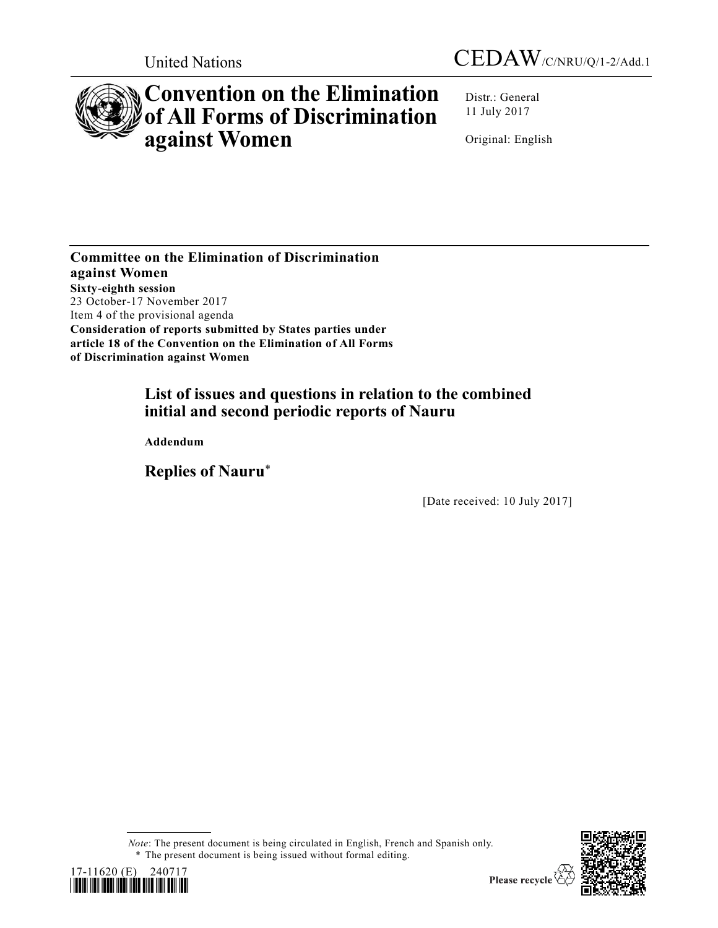



# **Convention on the Elimination of All Forms of Discrimination against Women**

Distr.: General 11 July 2017

Original: English

**Committee on the Elimination of Discrimination against Women Sixty-eighth session**  23 October-17 November 2017 Item 4 of the provisional agenda **Consideration of reports submitted by States parties under article 18 of the Convention on the Elimination of All Forms of Discrimination against Women**

# **List of issues and questions in relation to the combined initial and second periodic reports of Nauru**

**Addendum** 

**Replies of Nauru**\*

[Date received: 10 July 2017]

*Note*: The present document is being circulated in English, French and Spanish only. \* The present document is being issued without formal editing.



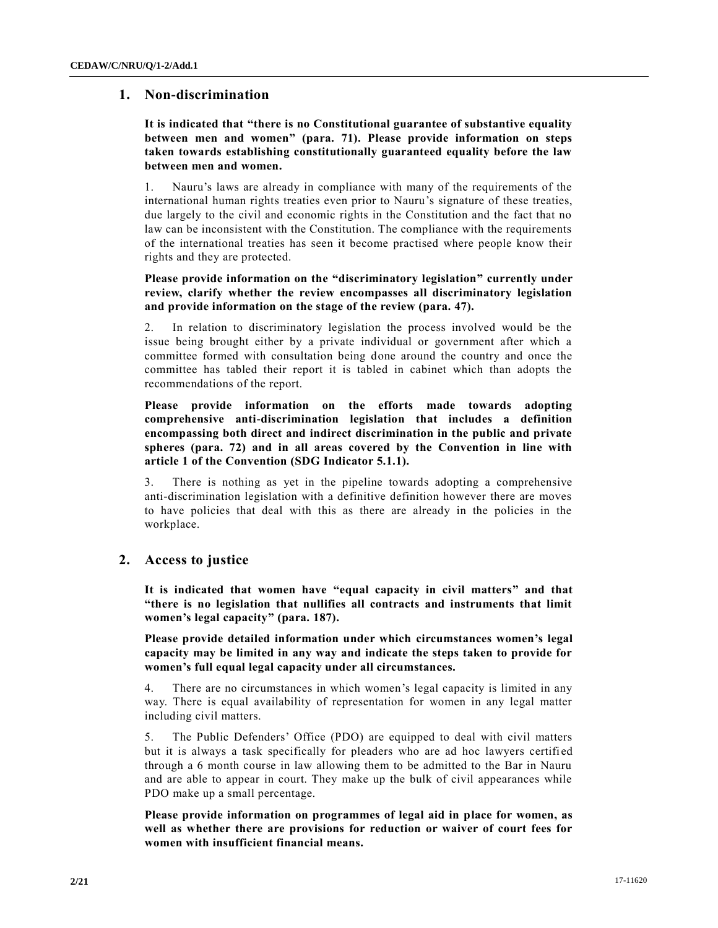# **1. Non-discrimination**

# **It is indicated that "there is no Constitutional guarantee of substantive equality between men and women" (para. 71). Please provide information on steps taken towards establishing constitutionally guaranteed equality before the law between men and women.**

1. Nauru's laws are already in compliance with many of the requirements of the international human rights treaties even prior to Nauru's signature of these treaties, due largely to the civil and economic rights in the Constitution and the fact that no law can be inconsistent with the Constitution. The compliance with the requirements of the international treaties has seen it become practised where people know their rights and they are protected.

# **Please provide information on the "discriminatory legislation" currently under review, clarify whether the review encompasses all discriminatory legislation and provide information on the stage of the review (para. 47).**

2. In relation to discriminatory legislation the process involved would be the issue being brought either by a private individual or government after which a committee formed with consultation being done around the country and once the committee has tabled their report it is tabled in cabinet which than adopts the recommendations of the report.

**Please provide information on the efforts made towards adopting comprehensive anti-discrimination legislation that includes a definition encompassing both direct and indirect discrimination in the public and private spheres (para. 72) and in all areas covered by the Convention in line with article 1 of the Convention (SDG Indicator 5.1.1).**

3. There is nothing as yet in the pipeline towards adopting a comprehensive anti-discrimination legislation with a definitive definition however there are moves to have policies that deal with this as there are already in the policies in the workplace.

# **2. Access to justice**

**It is indicated that women have "equal capacity in civil matters" and that "there is no legislation that nullifies all contracts and instruments that limit women's legal capacity" (para. 187).** 

**Please provide detailed information under which circumstances women's legal capacity may be limited in any way and indicate the steps taken to provide for women's full equal legal capacity under all circumstances.** 

4. There are no circumstances in which women's legal capacity is limited in any way. There is equal availability of representation for women in any legal matter including civil matters.

5. The Public Defenders' Office (PDO) are equipped to deal with civil matters but it is always a task specifically for pleaders who are ad hoc lawyers certifi ed through a 6 month course in law allowing them to be admitted to the Bar in Nauru and are able to appear in court. They make up the bulk of civil appearances while PDO make up a small percentage.

**Please provide information on programmes of legal aid in place for women, as well as whether there are provisions for reduction or waiver of court fees for women with insufficient financial means.**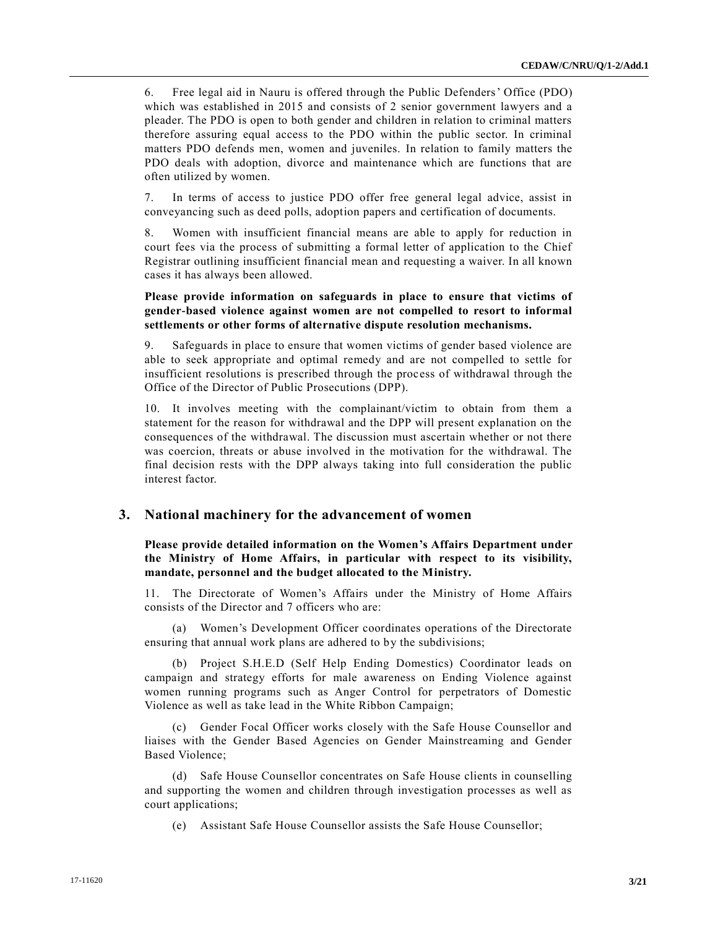6. Free legal aid in Nauru is offered through the Public Defenders' Office (PDO) which was established in 2015 and consists of 2 senior government lawyers and a pleader. The PDO is open to both gender and children in relation to criminal matters therefore assuring equal access to the PDO within the public sector. In criminal matters PDO defends men, women and juveniles. In relation to family matters the PDO deals with adoption, divorce and maintenance which are functions that are often utilized by women.

7. In terms of access to justice PDO offer free general legal advice, assist in conveyancing such as deed polls, adoption papers and certification of documents.

8. Women with insufficient financial means are able to apply for reduction in court fees via the process of submitting a formal letter of application to the Chief Registrar outlining insufficient financial mean and requesting a waiver. In all known cases it has always been allowed.

#### **Please provide information on safeguards in place to ensure that victims of gender-based violence against women are not compelled to resort to informal settlements or other forms of alternative dispute resolution mechanisms.**

9. Safeguards in place to ensure that women victims of gender based violence are able to seek appropriate and optimal remedy and are not compelled to settle for insufficient resolutions is prescribed through the process of withdrawal through the Office of the Director of Public Prosecutions (DPP).

10. It involves meeting with the complainant/victim to obtain from them a statement for the reason for withdrawal and the DPP will present explanation on the consequences of the withdrawal. The discussion must ascertain whether or not there was coercion, threats or abuse involved in the motivation for the withdrawal. The final decision rests with the DPP always taking into full consideration the public interest factor.

# **3. National machinery for the advancement of women**

**Please provide detailed information on the Women's Affairs Department under the Ministry of Home Affairs, in particular with respect to its visibility, mandate, personnel and the budget allocated to the Ministry.** 

11. The Directorate of Women's Affairs under the Ministry of Home Affairs consists of the Director and 7 officers who are:

(a) Women's Development Officer coordinates operations of the Directorate ensuring that annual work plans are adhered to by the subdivisions;

(b) Project S.H.E.D (Self Help Ending Domestics) Coordinator leads on campaign and strategy efforts for male awareness on Ending Violence against women running programs such as Anger Control for perpetrators of Domestic Violence as well as take lead in the White Ribbon Campaign;

(c) Gender Focal Officer works closely with the Safe House Counsellor and liaises with the Gender Based Agencies on Gender Mainstreaming and Gender Based Violence;

Safe House Counsellor concentrates on Safe House clients in counselling and supporting the women and children through investigation processes as well as court applications;

(e) Assistant Safe House Counsellor assists the Safe House Counsellor;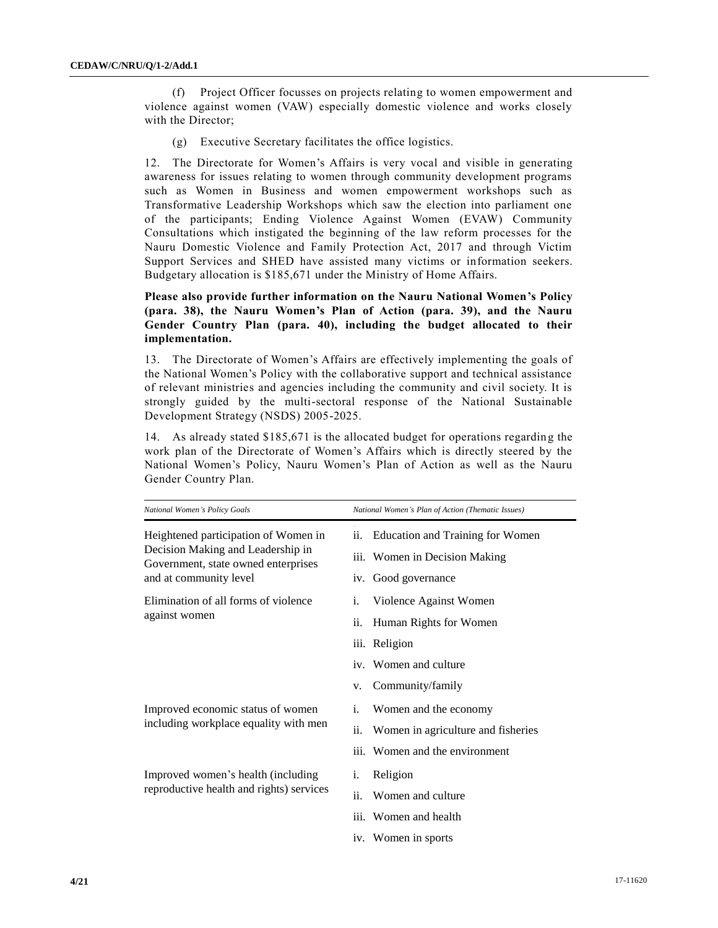(f) Project Officer focusses on projects relating to women empowerment and violence against women (VAW) especially domestic violence and works closely with the Director;

(g) Executive Secretary facilitates the office logistics.

12. The Directorate for Women's Affairs is very vocal and visible in generating awareness for issues relating to women through community development programs such as Women in Business and women empowerment workshops such as Transformative Leadership Workshops which saw the election into parliament one of the participants; Ending Violence Against Women (EVAW) Community Consultations which instigated the beginning of the law reform processes for the Nauru Domestic Violence and Family Protection Act, 2017 and through Victim Support Services and SHED have assisted many victims or information seekers. Budgetary allocation is \$185,671 under the Ministry of Home Affairs.

# **Please also provide further information on the Nauru National Women's Policy (para. 38), the Nauru Women's Plan of Action (para. 39), and the Nauru Gender Country Plan (para. 40), including the budget allocated to their implementation.**

13. The Directorate of Women's Affairs are effectively implementing the goals of the National Women's Policy with the collaborative support and technical assistance of relevant ministries and agencies including the community and civil society. It is strongly guided by the multi-sectoral response of the National Sustainable Development Strategy (NSDS) 2005-2025.

14. As already stated \$185,671 is the allocated budget for operations regardin g the work plan of the Directorate of Women's Affairs which is directly steered by the National Women's Policy, Nauru Women's Plan of Action as well as the Nauru Gender Country Plan.

| National Women's Policy Goals                                                                                                              | National Women's Plan of Action (Thematic Issues)                               |
|--------------------------------------------------------------------------------------------------------------------------------------------|---------------------------------------------------------------------------------|
| Heightened participation of Women in<br>Decision Making and Leadership in<br>Government, state owned enterprises<br>and at community level | <b>Education and Training for Women</b><br>11.<br>iii. Women in Decision Making |
|                                                                                                                                            | iv. Good governance                                                             |
| Elimination of all forms of violence<br>against women                                                                                      | i.<br>Violence Against Women                                                    |
|                                                                                                                                            | ii.<br>Human Rights for Women                                                   |
|                                                                                                                                            | iii. Religion                                                                   |
|                                                                                                                                            | iv. Women and culture                                                           |
|                                                                                                                                            | Community/family<br>v.                                                          |
| Improved economic status of women<br>including workplace equality with men                                                                 | Women and the economy<br>i.                                                     |
|                                                                                                                                            | ii.<br>Women in agriculture and fisheries                                       |
|                                                                                                                                            | iii. Women and the environment                                                  |
| Improved women's health (including<br>reproductive health and rights) services                                                             | Religion<br>i.                                                                  |
|                                                                                                                                            | ii.<br>Women and culture                                                        |
|                                                                                                                                            | iii. Women and health                                                           |
|                                                                                                                                            | iv. Women in sports                                                             |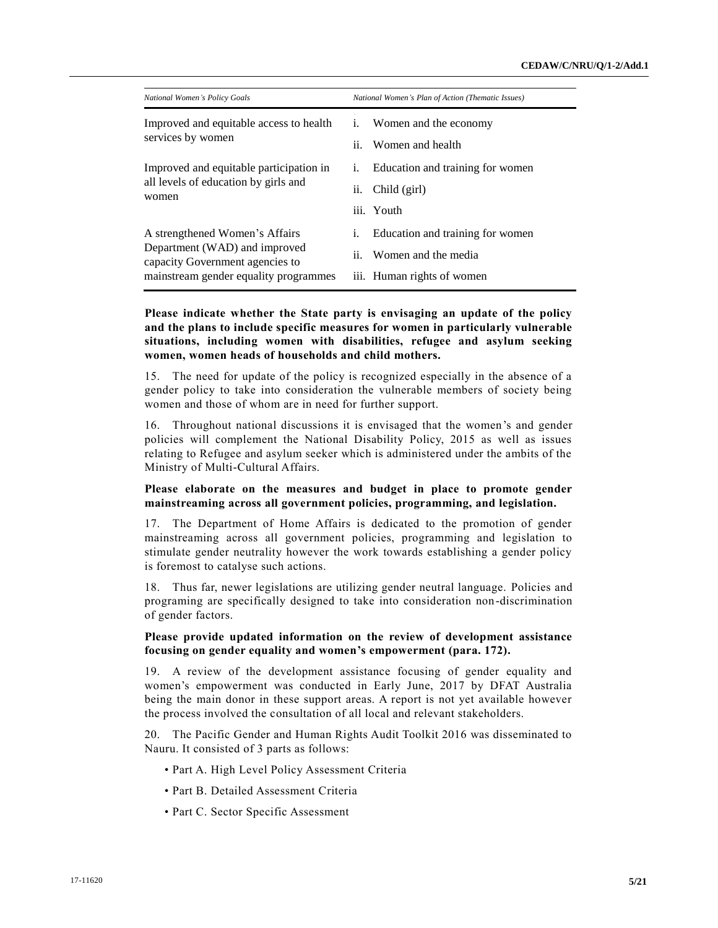| National Women's Plan of Action (Thematic Issues)                                               |
|-------------------------------------------------------------------------------------------------|
| Women and the economy<br>i.<br>Women and health<br>$\mathbf{11}$ .                              |
| Education and training for women<br>1.<br>Child (girl)<br>11.<br>iii. Youth                     |
| Education and training for women<br>1.<br>ii. Women and the media<br>iii. Human rights of women |
|                                                                                                 |

**Please indicate whether the State party is envisaging an update of the policy and the plans to include specific measures for women in particularly vulnerable situations, including women with disabilities, refugee and asylum seeking women, women heads of households and child mothers.** 

15. The need for update of the policy is recognized especially in the absence of a gender policy to take into consideration the vulnerable members of society being women and those of whom are in need for further support.

16. Throughout national discussions it is envisaged that the women's and gender policies will complement the National Disability Policy, 2015 as well as issues relating to Refugee and asylum seeker which is administered under the ambits of the Ministry of Multi-Cultural Affairs.

#### **Please elaborate on the measures and budget in place to promote gender mainstreaming across all government policies, programming, and legislation.**

17. The Department of Home Affairs is dedicated to the promotion of gender mainstreaming across all government policies, programming and legislation to stimulate gender neutrality however the work towards establishing a gender policy is foremost to catalyse such actions.

18. Thus far, newer legislations are utilizing gender neutral language. Policies and programing are specifically designed to take into consideration non-discrimination of gender factors.

#### **Please provide updated information on the review of development assistance focusing on gender equality and women's empowerment (para. 172).**

19. A review of the development assistance focusing of gender equality and women's empowerment was conducted in Early June, 2017 by DFAT Australia being the main donor in these support areas. A report is not yet available however the process involved the consultation of all local and relevant stakeholders.

20. The Pacific Gender and Human Rights Audit Toolkit 2016 was disseminated to Nauru. It consisted of 3 parts as follows:

- Part A. High Level Policy Assessment Criteria
- Part B. Detailed Assessment Criteria
- Part C. Sector Specific Assessment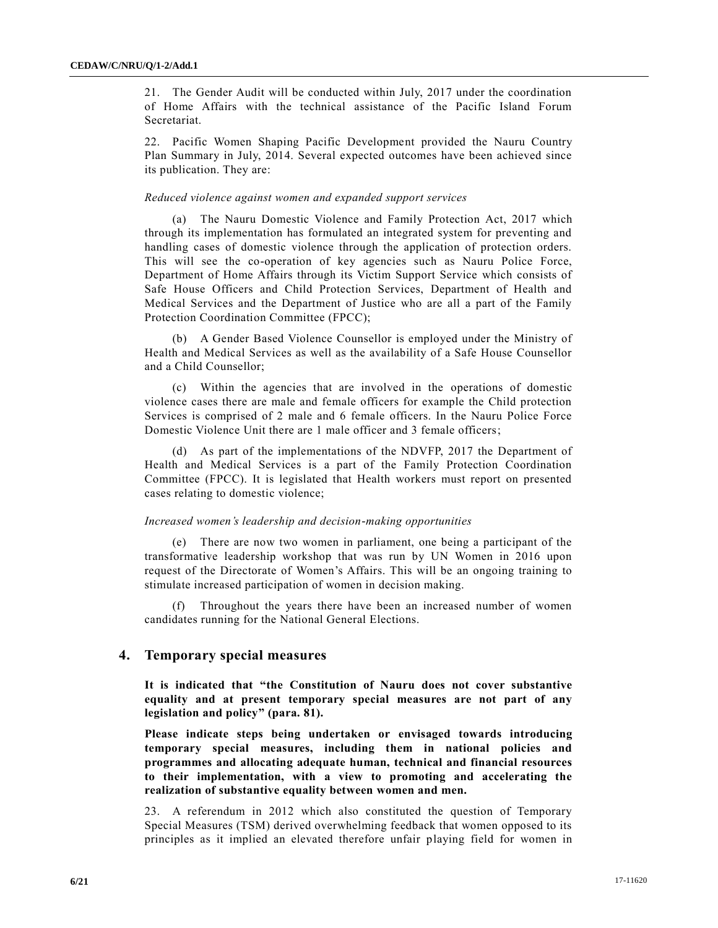21. The Gender Audit will be conducted within July, 2017 under the coordination of Home Affairs with the technical assistance of the Pacific Island Forum Secretariat.

22. Pacific Women Shaping Pacific Development provided the Nauru Country Plan Summary in July, 2014. Several expected outcomes have been achieved since its publication. They are:

#### *Reduced violence against women and expanded support services*

The Nauru Domestic Violence and Family Protection Act, 2017 which through its implementation has formulated an integrated system for preventing and handling cases of domestic violence through the application of protection orders. This will see the co-operation of key agencies such as Nauru Police Force, Department of Home Affairs through its Victim Support Service which consists of Safe House Officers and Child Protection Services, Department of Health and Medical Services and the Department of Justice who are all a part of the Family Protection Coordination Committee (FPCC);

(b) A Gender Based Violence Counsellor is employed under the Ministry of Health and Medical Services as well as the availability of a Safe House Counsellor and a Child Counsellor;

(c) Within the agencies that are involved in the operations of domestic violence cases there are male and female officers for example the Child protection Services is comprised of 2 male and 6 female officers. In the Nauru Police Force Domestic Violence Unit there are 1 male officer and 3 female officers;

(d) As part of the implementations of the NDVFP, 2017 the Department of Health and Medical Services is a part of the Family Protection Coordination Committee (FPCC). It is legislated that Health workers must report on presented cases relating to domestic violence;

#### *Increased women's leadership and decision-making opportunities*

(e) There are now two women in parliament, one being a participant of the transformative leadership workshop that was run by UN Women in 2016 upon request of the Directorate of Women's Affairs. This will be an ongoing training to stimulate increased participation of women in decision making.

(f) Throughout the years there have been an increased number of women candidates running for the National General Elections.

#### **4. Temporary special measures**

**It is indicated that "the Constitution of Nauru does not cover substantive equality and at present temporary special measures are not part of any legislation and policy" (para. 81).** 

**Please indicate steps being undertaken or envisaged towards introducing temporary special measures, including them in national policies and programmes and allocating adequate human, technical and financial resources to their implementation, with a view to promoting and accelerating the realization of substantive equality between women and men.**

23. A referendum in 2012 which also constituted the question of Temporary Special Measures (TSM) derived overwhelming feedback that women opposed to its principles as it implied an elevated therefore unfair playing field for women in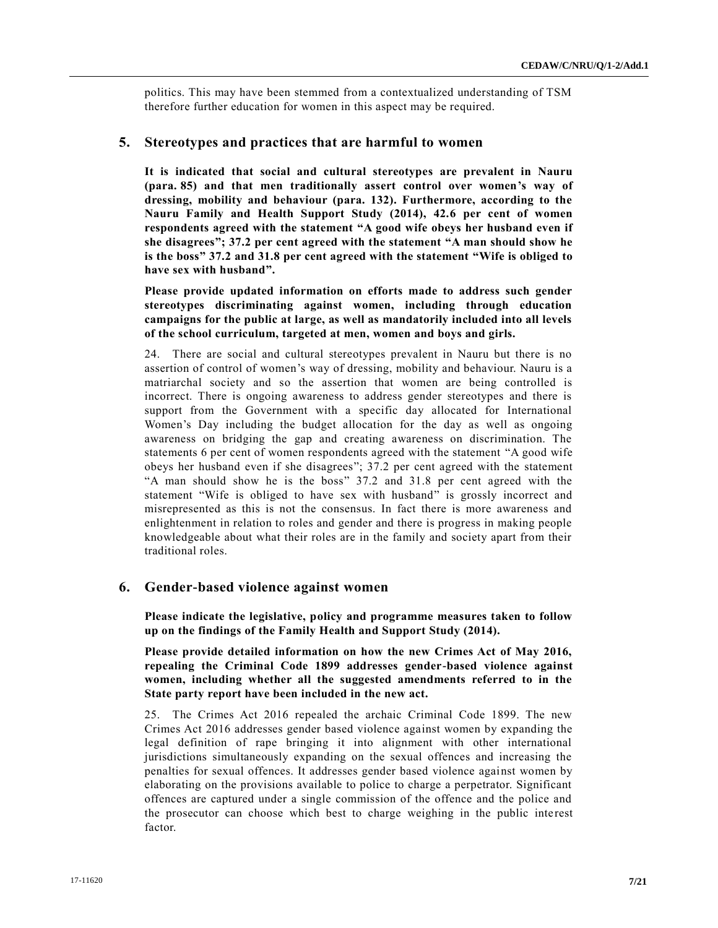politics. This may have been stemmed from a contextualized understanding of TSM therefore further education for women in this aspect may be required.

#### **5. Stereotypes and practices that are harmful to women**

**It is indicated that social and cultural stereotypes are prevalent in Nauru (para. 85) and that men traditionally assert control over women's way of dressing, mobility and behaviour (para. 132). Furthermore, according to the Nauru Family and Health Support Study (2014), 42.6 per cent of women respondents agreed with the statement "A good wife obeys her husband even if she disagrees"; 37.2 per cent agreed with the statement "A man should show he is the boss" 37.2 and 31.8 per cent agreed with the statement "Wife is obliged to have sex with husband".** 

**Please provide updated information on efforts made to address such gender stereotypes discriminating against women, including through education campaigns for the public at large, as well as mandatorily included into all levels of the school curriculum, targeted at men, women and boys and girls.**

24. There are social and cultural stereotypes prevalent in Nauru but there is no assertion of control of women's way of dressing, mobility and behaviour. Nauru is a matriarchal society and so the assertion that women are being controlled is incorrect. There is ongoing awareness to address gender stereotypes and there is support from the Government with a specific day allocated for International Women's Day including the budget allocation for the day as well as ongoing awareness on bridging the gap and creating awareness on discrimination. The statements 6 per cent of women respondents agreed with the statement "A good wife obeys her husband even if she disagrees"; 37.2 per cent agreed with the statement "A man should show he is the boss" 37.2 and 31.8 per cent agreed with the statement "Wife is obliged to have sex with husband" is grossly incorrect and misrepresented as this is not the consensus. In fact there is more awareness and enlightenment in relation to roles and gender and there is progress in making people knowledgeable about what their roles are in the family and society apart from their traditional roles.

# **6. Gender-based violence against women**

**Please indicate the legislative, policy and programme measures taken to follow up on the findings of the Family Health and Support Study (2014).** 

**Please provide detailed information on how the new Crimes Act of May 2016, repealing the Criminal Code 1899 addresses gender-based violence against women, including whether all the suggested amendments referred to in the State party report have been included in the new act.** 

25. The Crimes Act 2016 repealed the archaic Criminal Code 1899. The new Crimes Act 2016 addresses gender based violence against women by expanding the legal definition of rape bringing it into alignment with other international jurisdictions simultaneously expanding on the sexual offences and increasing the penalties for sexual offences. It addresses gender based violence against women by elaborating on the provisions available to police to charge a perpetrator. Significant offences are captured under a single commission of the offence and the police and the prosecutor can choose which best to charge weighing in the public inte rest factor.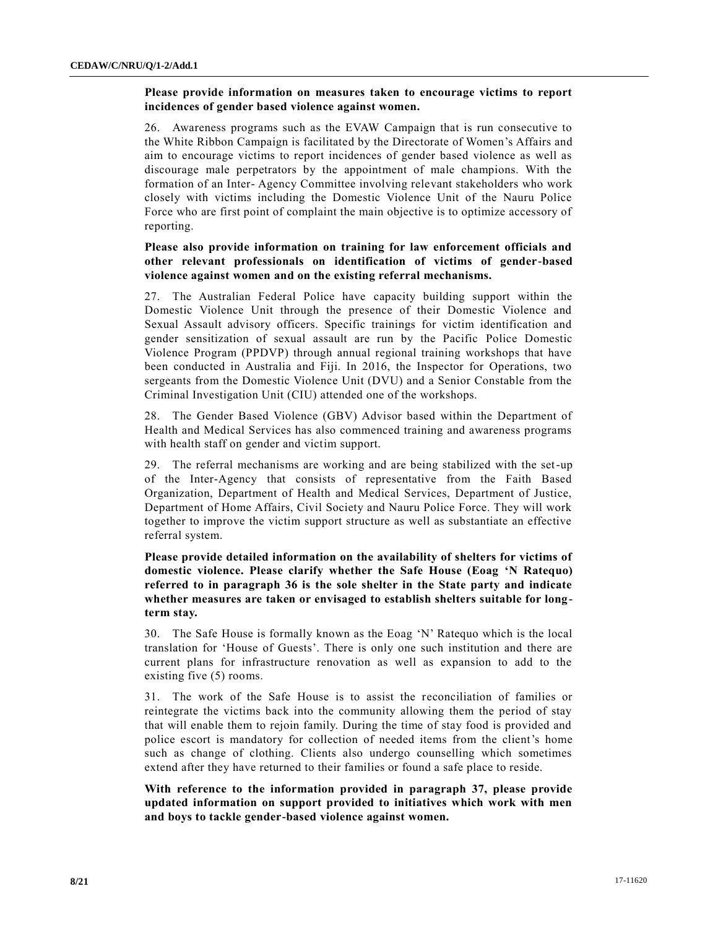#### **Please provide information on measures taken to encourage victims to report incidences of gender based violence against women.**

26. Awareness programs such as the EVAW Campaign that is run consecutive to the White Ribbon Campaign is facilitated by the Directorate of Women's Affairs and aim to encourage victims to report incidences of gender based violence as well as discourage male perpetrators by the appointment of male champions. With the formation of an Inter- Agency Committee involving relevant stakeholders who work closely with victims including the Domestic Violence Unit of the Nauru Police Force who are first point of complaint the main objective is to optimize accessory of reporting.

#### **Please also provide information on training for law enforcement officials and other relevant professionals on identification of victims of gender-based violence against women and on the existing referral mechanisms.**

27. The Australian Federal Police have capacity building support within the Domestic Violence Unit through the presence of their Domestic Violence and Sexual Assault advisory officers. Specific trainings for victim identification and gender sensitization of sexual assault are run by the Pacific Police Domestic Violence Program (PPDVP) through annual regional training workshops that have been conducted in Australia and Fiji. In 2016, the Inspector for Operations, two sergeants from the Domestic Violence Unit (DVU) and a Senior Constable from the Criminal Investigation Unit (CIU) attended one of the workshops.

28. The Gender Based Violence (GBV) Advisor based within the Department of Health and Medical Services has also commenced training and awareness programs with health staff on gender and victim support.

29. The referral mechanisms are working and are being stabilized with the set-up of the Inter-Agency that consists of representative from the Faith Based Organization, Department of Health and Medical Services, Department of Justice, Department of Home Affairs, Civil Society and Nauru Police Force. They will work together to improve the victim support structure as well as substantiate an effective referral system.

**Please provide detailed information on the availability of shelters for victims of domestic violence. Please clarify whether the Safe House (Eoag 'N Ratequo) referred to in paragraph 36 is the sole shelter in the State party and indicate whether measures are taken or envisaged to establish shelters suitable for longterm stay.** 

30. The Safe House is formally known as the Eoag 'N' Ratequo which is the local translation for 'House of Guests'. There is only one such institution and there are current plans for infrastructure renovation as well as expansion to add to the existing five (5) rooms.

31. The work of the Safe House is to assist the reconciliation of families or reintegrate the victims back into the community allowing them the period of stay that will enable them to rejoin family. During the time of stay food is provided and police escort is mandatory for collection of needed items from the client's home such as change of clothing. Clients also undergo counselling which sometimes extend after they have returned to their families or found a safe place to reside.

**With reference to the information provided in paragraph 37, please provide updated information on support provided to initiatives which work with men and boys to tackle gender-based violence against women.**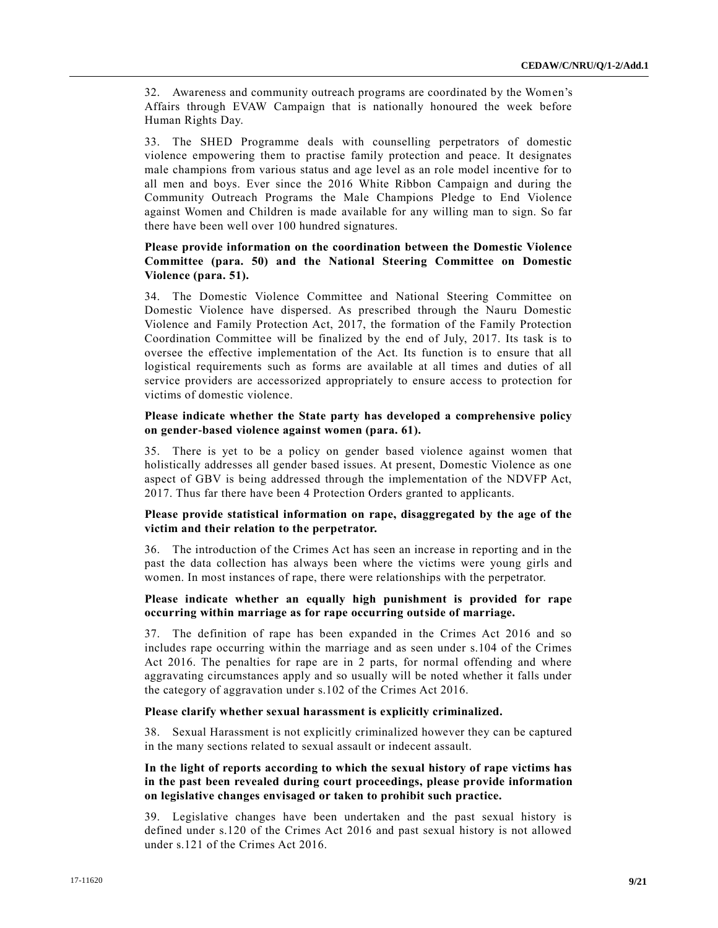32. Awareness and community outreach programs are coordinated by the Women's Affairs through EVAW Campaign that is nationally honoured the week before Human Rights Day.

33. The SHED Programme deals with counselling perpetrators of domestic violence empowering them to practise family protection and peace. It designates male champions from various status and age level as an role model incentive for to all men and boys. Ever since the 2016 White Ribbon Campaign and during the Community Outreach Programs the Male Champions Pledge to End Violence against Women and Children is made available for any willing man to sign. So far there have been well over 100 hundred signatures.

# **Please provide information on the coordination between the Domestic Violence Committee (para. 50) and the National Steering Committee on Domestic Violence (para. 51).**

34. The Domestic Violence Committee and National Steering Committee on Domestic Violence have dispersed. As prescribed through the Nauru Domestic Violence and Family Protection Act, 2017, the formation of the Family Protection Coordination Committee will be finalized by the end of July, 2017. Its task is to oversee the effective implementation of the Act. Its function is to ensure that all logistical requirements such as forms are available at all times and duties of all service providers are accessorized appropriately to ensure access to protection for victims of domestic violence.

#### **Please indicate whether the State party has developed a comprehensive policy on gender-based violence against women (para. 61).**

35. There is yet to be a policy on gender based violence against women that holistically addresses all gender based issues. At present, Domestic Violence as one aspect of GBV is being addressed through the implementation of the NDVFP Act, 2017. Thus far there have been 4 Protection Orders granted to applicants.

# **Please provide statistical information on rape, disaggregated by the age of the victim and their relation to the perpetrator.**

36. The introduction of the Crimes Act has seen an increase in reporting and in the past the data collection has always been where the victims were young girls and women. In most instances of rape, there were relationships with the perpetrator.

#### **Please indicate whether an equally high punishment is provided for rape occurring within marriage as for rape occurring outside of marriage.**

37. The definition of rape has been expanded in the Crimes Act 2016 and so includes rape occurring within the marriage and as seen under s.104 of the Crimes Act 2016. The penalties for rape are in 2 parts, for normal offending and where aggravating circumstances apply and so usually will be noted whether it falls under the category of aggravation under s.102 of the Crimes Act 2016.

#### **Please clarify whether sexual harassment is explicitly criminalized.**

38. Sexual Harassment is not explicitly criminalized however they can be captured in the many sections related to sexual assault or indecent assault.

## **In the light of reports according to which the sexual history of rape victims has in the past been revealed during court proceedings, please provide information on legislative changes envisaged or taken to prohibit such practice.**

39. Legislative changes have been undertaken and the past sexual history is defined under s.120 of the Crimes Act 2016 and past sexual history is not allowed under s.121 of the Crimes Act 2016.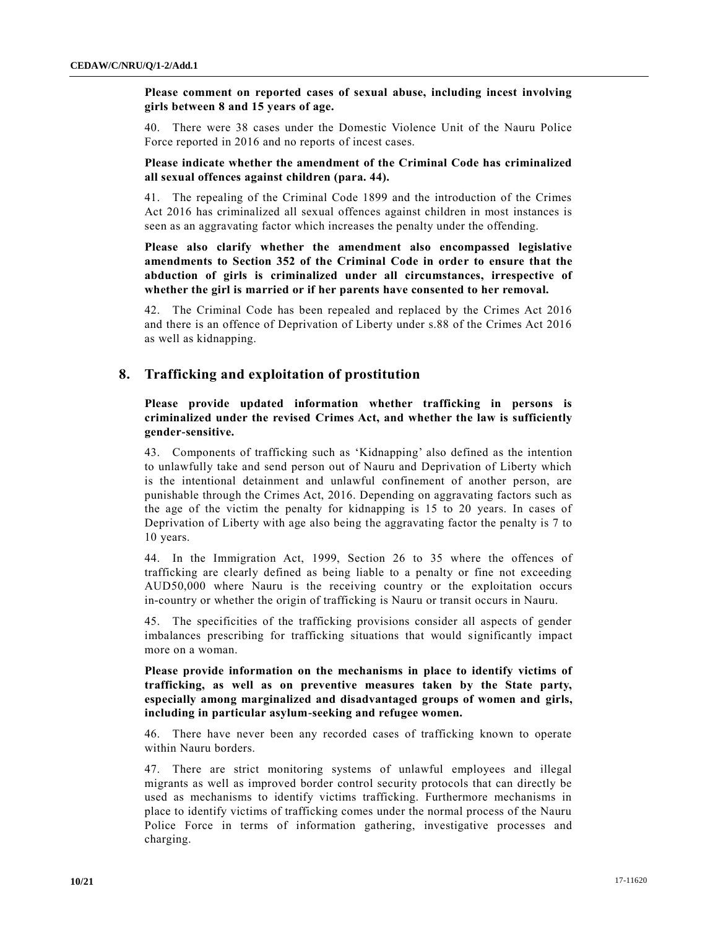**Please comment on reported cases of sexual abuse, including incest involving girls between 8 and 15 years of age.** 

40. There were 38 cases under the Domestic Violence Unit of the Nauru Police Force reported in 2016 and no reports of incest cases.

#### **Please indicate whether the amendment of the Criminal Code has criminalized all sexual offences against children (para. 44).**

41. The repealing of the Criminal Code 1899 and the introduction of the Crimes Act 2016 has criminalized all sexual offences against children in most instances is seen as an aggravating factor which increases the penalty under the offending.

**Please also clarify whether the amendment also encompassed legislative amendments to Section 352 of the Criminal Code in order to ensure that the abduction of girls is criminalized under all circumstances, irrespective of whether the girl is married or if her parents have consented to her removal.**

42. The Criminal Code has been repealed and replaced by the Crimes Act 2016 and there is an offence of Deprivation of Liberty under s.88 of the Crimes Act 2016 as well as kidnapping.

## **8. Trafficking and exploitation of prostitution**

**Please provide updated information whether trafficking in persons is criminalized under the revised Crimes Act, and whether the law is sufficiently gender-sensitive.**

43. Components of trafficking such as 'Kidnapping' also defined as the intention to unlawfully take and send person out of Nauru and Deprivation of Liberty which is the intentional detainment and unlawful confinement of another person, are punishable through the Crimes Act, 2016. Depending on aggravating factors such as the age of the victim the penalty for kidnapping is 15 to 20 years. In cases of Deprivation of Liberty with age also being the aggravating factor the penalty is 7 to 10 years.

44. In the Immigration Act, 1999, Section 26 to 35 where the offences of trafficking are clearly defined as being liable to a penalty or fine not exceeding AUD50,000 where Nauru is the receiving country or the exploitation occurs in-country or whether the origin of trafficking is Nauru or transit occurs in Nauru.

45. The specificities of the trafficking provisions consider all aspects of gender imbalances prescribing for trafficking situations that would significantly impact more on a woman.

**Please provide information on the mechanisms in place to identify victims of trafficking, as well as on preventive measures taken by the State party, especially among marginalized and disadvantaged groups of women and girls, including in particular asylum-seeking and refugee women.** 

46. There have never been any recorded cases of trafficking known to operate within Nauru borders.

47. There are strict monitoring systems of unlawful employees and illegal migrants as well as improved border control security protocols that can directly be used as mechanisms to identify victims trafficking. Furthermore mechanisms in place to identify victims of trafficking comes under the normal process of the Nauru Police Force in terms of information gathering, investigative processes and charging.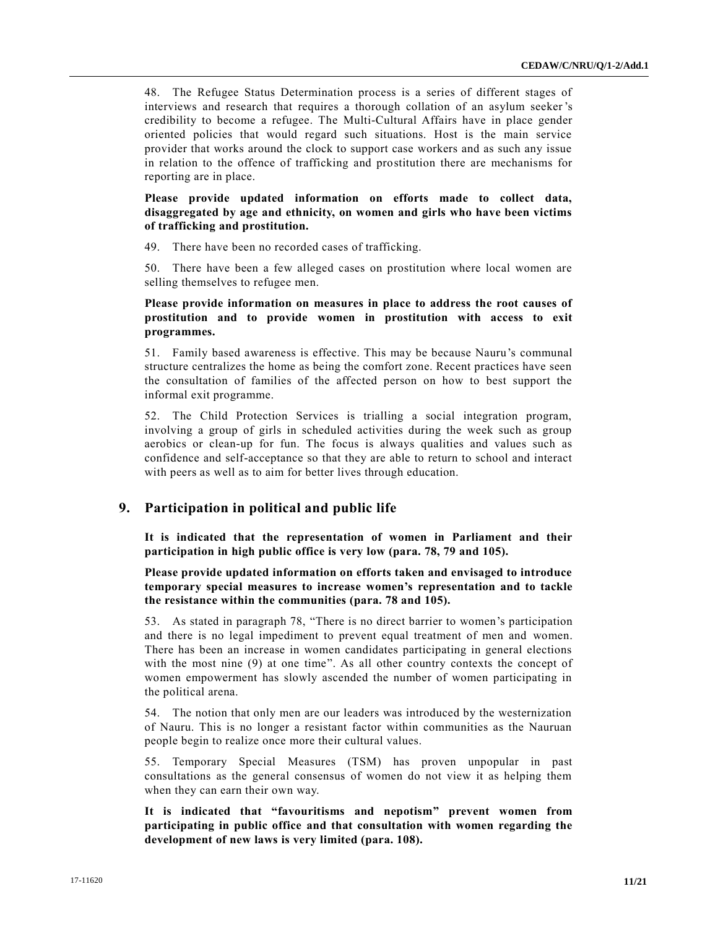48. The Refugee Status Determination process is a series of different stages of interviews and research that requires a thorough collation of an asylum seeker 's credibility to become a refugee. The Multi-Cultural Affairs have in place gender oriented policies that would regard such situations. Host is the main service provider that works around the clock to support case workers and as such any issue in relation to the offence of trafficking and prostitution there are mechanisms for reporting are in place.

**Please provide updated information on efforts made to collect data, disaggregated by age and ethnicity, on women and girls who have been victims of trafficking and prostitution.**

49. There have been no recorded cases of trafficking.

50. There have been a few alleged cases on prostitution where local women are selling themselves to refugee men.

**Please provide information on measures in place to address the root causes of prostitution and to provide women in prostitution with access to exit programmes.**

51. Family based awareness is effective. This may be because Nauru's communal structure centralizes the home as being the comfort zone. Recent practices have seen the consultation of families of the affected person on how to best support the informal exit programme.

52. The Child Protection Services is trialling a social integration program, involving a group of girls in scheduled activities during the week such as group aerobics or clean-up for fun. The focus is always qualities and values such as confidence and self-acceptance so that they are able to return to school and interact with peers as well as to aim for better lives through education.

# **9. Participation in political and public life**

**It is indicated that the representation of women in Parliament and their participation in high public office is very low (para. 78, 79 and 105).** 

**Please provide updated information on efforts taken and envisaged to introduce temporary special measures to increase women's representation and to tackle the resistance within the communities (para. 78 and 105).** 

53. As stated in paragraph 78, "There is no direct barrier to women's participation and there is no legal impediment to prevent equal treatment of men and women. There has been an increase in women candidates participating in general elections with the most nine (9) at one time". As all other country contexts the concept of women empowerment has slowly ascended the number of women participating in the political arena.

54. The notion that only men are our leaders was introduced by the westernization of Nauru. This is no longer a resistant factor within communities as the Nauruan people begin to realize once more their cultural values.

55. Temporary Special Measures (TSM) has proven unpopular in past consultations as the general consensus of women do not view it as helping them when they can earn their own way.

**It is indicated that "favouritisms and nepotism" prevent women from participating in public office and that consultation with women regarding the development of new laws is very limited (para. 108).**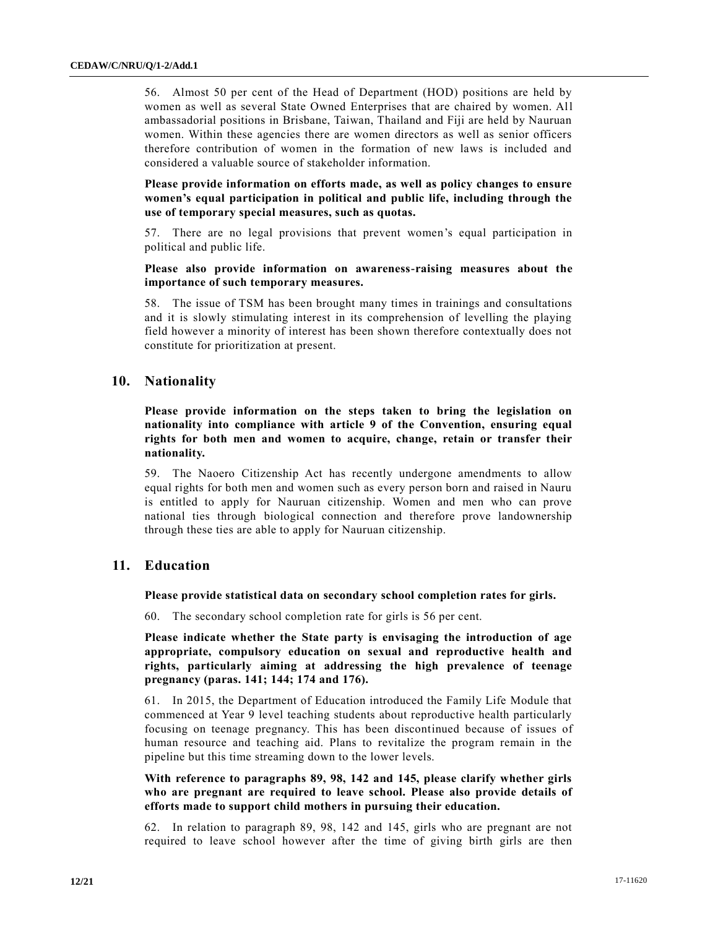56. Almost 50 per cent of the Head of Department (HOD) positions are held by women as well as several State Owned Enterprises that are chaired by women. All ambassadorial positions in Brisbane, Taiwan, Thailand and Fiji are held by Nauruan women. Within these agencies there are women directors as well as senior officers therefore contribution of women in the formation of new laws is included and considered a valuable source of stakeholder information.

**Please provide information on efforts made, as well as policy changes to ensure women's equal participation in political and public life, including through the use of temporary special measures, such as quotas.** 

57. There are no legal provisions that prevent women's equal participation in political and public life.

**Please also provide information on awareness-raising measures about the importance of such temporary measures.** 

58. The issue of TSM has been brought many times in trainings and consultations and it is slowly stimulating interest in its comprehension of levelling the playing field however a minority of interest has been shown therefore contextually does not constitute for prioritization at present.

# **10. Nationality**

**Please provide information on the steps taken to bring the legislation on nationality into compliance with article 9 of the Convention, ensuring equal rights for both men and women to acquire, change, retain or transfer their nationality.** 

59. The Naoero Citizenship Act has recently undergone amendments to allow equal rights for both men and women such as every person born and raised in Nauru is entitled to apply for Nauruan citizenship. Women and men who can prove national ties through biological connection and therefore prove landownership through these ties are able to apply for Nauruan citizenship.

# **11. Education**

**Please provide statistical data on secondary school completion rates for girls.** 

60. The secondary school completion rate for girls is 56 per cent.

**Please indicate whether the State party is envisaging the introduction of age appropriate, compulsory education on sexual and reproductive health and rights, particularly aiming at addressing the high prevalence of teenage pregnancy (paras. 141; 144; 174 and 176).** 

61. In 2015, the Department of Education introduced the Family Life Module that commenced at Year 9 level teaching students about reproductive health particularly focusing on teenage pregnancy. This has been discontinued because of issues of human resource and teaching aid. Plans to revitalize the program remain in the pipeline but this time streaming down to the lower levels.

**With reference to paragraphs 89, 98, 142 and 145, please clarify whether girls who are pregnant are required to leave school. Please also provide details of efforts made to support child mothers in pursuing their education.** 

62. In relation to paragraph 89, 98, 142 and 145, girls who are pregnant are not required to leave school however after the time of giving birth girls are then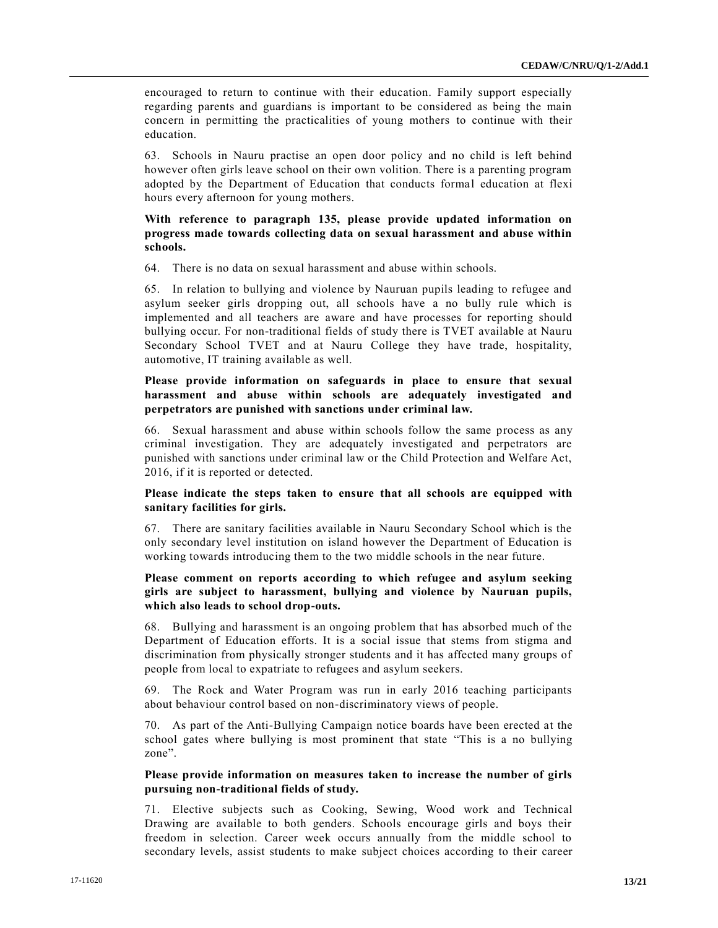encouraged to return to continue with their education. Family support especially regarding parents and guardians is important to be considered as being the main concern in permitting the practicalities of young mothers to continue with their education.

63. Schools in Nauru practise an open door policy and no child is left behind however often girls leave school on their own volition. There is a parenting program adopted by the Department of Education that conducts formal education at flexi hours every afternoon for young mothers.

#### **With reference to paragraph 135, please provide updated information on progress made towards collecting data on sexual harassment and abuse within schools.**

64. There is no data on sexual harassment and abuse within schools.

65. In relation to bullying and violence by Nauruan pupils leading to refugee and asylum seeker girls dropping out, all schools have a no bully rule which is implemented and all teachers are aware and have processes for reporting should bullying occur. For non-traditional fields of study there is TVET available at Nauru Secondary School TVET and at Nauru College they have trade, hospitality, automotive, IT training available as well.

## **Please provide information on safeguards in place to ensure that sexual harassment and abuse within schools are adequately investigated and perpetrators are punished with sanctions under criminal law.**

66. Sexual harassment and abuse within schools follow the same process as any criminal investigation. They are adequately investigated and perpetrators are punished with sanctions under criminal law or the Child Protection and Welfare Act, 2016, if it is reported or detected.

#### **Please indicate the steps taken to ensure that all schools are equipped with sanitary facilities for girls.**

67. There are sanitary facilities available in Nauru Secondary School which is the only secondary level institution on island however the Department of Education is working towards introducing them to the two middle schools in the near future.

### **Please comment on reports according to which refugee and asylum seeking girls are subject to harassment, bullying and violence by Nauruan pupils, which also leads to school drop-outs.**

68. Bullying and harassment is an ongoing problem that has absorbed much of the Department of Education efforts. It is a social issue that stems from stigma and discrimination from physically stronger students and it has affected many groups of people from local to expatriate to refugees and asylum seekers.

69. The Rock and Water Program was run in early 2016 teaching participants about behaviour control based on non-discriminatory views of people.

70. As part of the Anti-Bullying Campaign notice boards have been erected at the school gates where bullying is most prominent that state "This is a no bullying zone".

#### **Please provide information on measures taken to increase the number of girls pursuing non-traditional fields of study.**

71. Elective subjects such as Cooking, Sewing, Wood work and Technical Drawing are available to both genders. Schools encourage girls and boys their freedom in selection. Career week occurs annually from the middle school to secondary levels, assist students to make subject choices according to their career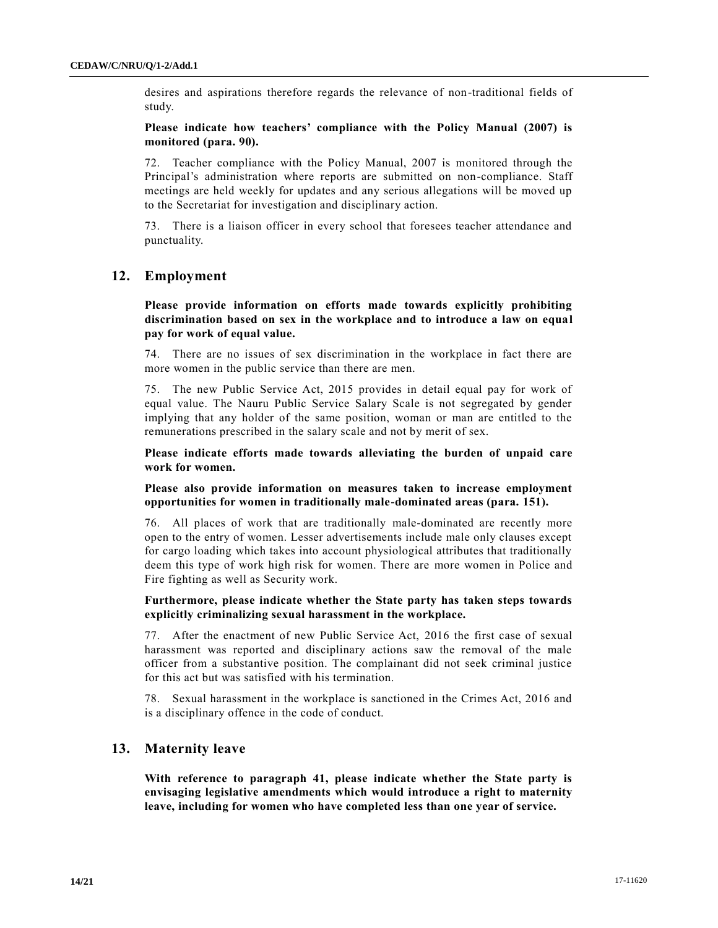desires and aspirations therefore regards the relevance of non-traditional fields of study.

### **Please indicate how teachers' compliance with the Policy Manual (2007) is monitored (para. 90).**

72. Teacher compliance with the Policy Manual, 2007 is monitored through the Principal's administration where reports are submitted on non-compliance. Staff meetings are held weekly for updates and any serious allegations will be moved up to the Secretariat for investigation and disciplinary action.

73. There is a liaison officer in every school that foresees teacher attendance and punctuality.

# **12. Employment**

**Please provide information on efforts made towards explicitly prohibiting discrimination based on sex in the workplace and to introduce a law on equal pay for work of equal value.** 

74. There are no issues of sex discrimination in the workplace in fact there are more women in the public service than there are men.

75. The new Public Service Act, 2015 provides in detail equal pay for work of equal value. The Nauru Public Service Salary Scale is not segregated by gender implying that any holder of the same position, woman or man are entitled to the remunerations prescribed in the salary scale and not by merit of sex.

**Please indicate efforts made towards alleviating the burden of unpaid care work for women.** 

**Please also provide information on measures taken to increase employment opportunities for women in traditionally male-dominated areas (para. 151).**

76. All places of work that are traditionally male-dominated are recently more open to the entry of women. Lesser advertisements include male only clauses except for cargo loading which takes into account physiological attributes that traditionally deem this type of work high risk for women. There are more women in Police and Fire fighting as well as Security work.

#### **Furthermore, please indicate whether the State party has taken steps towards explicitly criminalizing sexual harassment in the workplace.**

77. After the enactment of new Public Service Act, 2016 the first case of sexual harassment was reported and disciplinary actions saw the removal of the male officer from a substantive position. The complainant did not seek criminal justice for this act but was satisfied with his termination.

78. Sexual harassment in the workplace is sanctioned in the Crimes Act, 2016 and is a disciplinary offence in the code of conduct.

## **13. Maternity leave**

**With reference to paragraph 41, please indicate whether the State party is envisaging legislative amendments which would introduce a right to maternity leave, including for women who have completed less than one year of service.**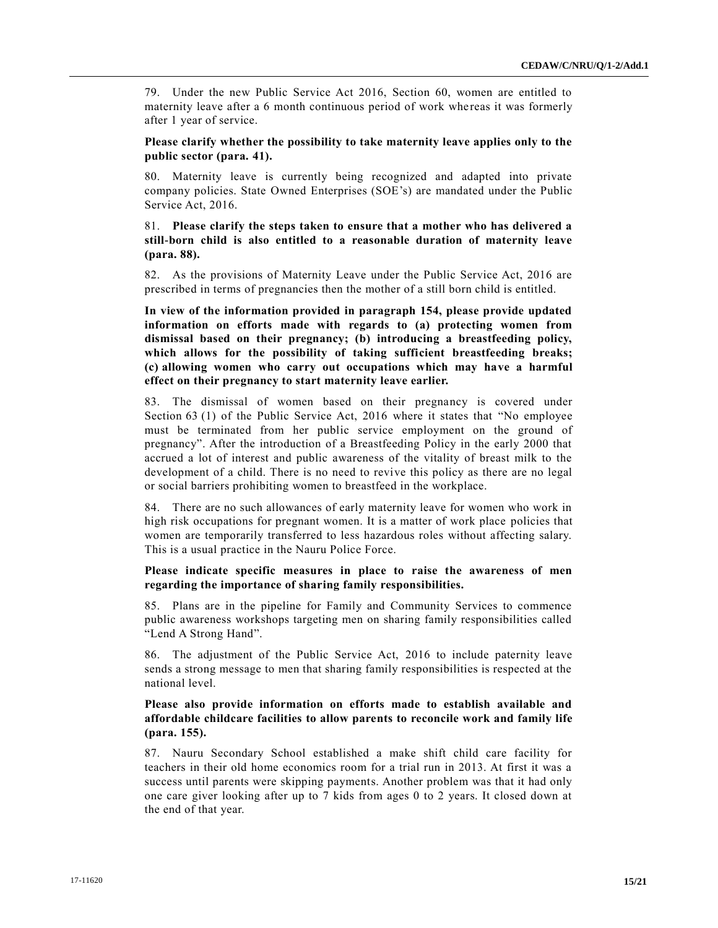79. Under the new Public Service Act 2016, Section 60, women are entitled to maternity leave after a 6 month continuous period of work whe reas it was formerly after 1 year of service.

**Please clarify whether the possibility to take maternity leave applies only to the public sector (para. 41).** 

80. Maternity leave is currently being recognized and adapted into private company policies. State Owned Enterprises (SOE's) are mandated under the Public Service Act, 2016.

# 81. **Please clarify the steps taken to ensure that a mother who has delivered a still-born child is also entitled to a reasonable duration of maternity leave (para. 88).**

82. As the provisions of Maternity Leave under the Public Service Act, 2016 are prescribed in terms of pregnancies then the mother of a still born child is entitled.

**In view of the information provided in paragraph 154, please provide updated information on efforts made with regards to (a) protecting women from dismissal based on their pregnancy; (b) introducing a breastfeeding policy, which allows for the possibility of taking sufficient breastfeeding breaks; (c) allowing women who carry out occupations which may have a harmful effect on their pregnancy to start maternity leave earlier.** 

83. The dismissal of women based on their pregnancy is covered under Section 63 (1) of the Public Service Act, 2016 where it states that "No employee must be terminated from her public service employment on the ground of pregnancy". After the introduction of a Breastfeeding Policy in the early 2000 that accrued a lot of interest and public awareness of the vitality of breast milk to the development of a child. There is no need to revive this policy as there are no legal or social barriers prohibiting women to breastfeed in the workplace.

84. There are no such allowances of early maternity leave for women who work in high risk occupations for pregnant women. It is a matter of work place policies that women are temporarily transferred to less hazardous roles without affecting salary. This is a usual practice in the Nauru Police Force.

#### **Please indicate specific measures in place to raise the awareness of men regarding the importance of sharing family responsibilities.**

85. Plans are in the pipeline for Family and Community Services to commence public awareness workshops targeting men on sharing family responsibilities called "Lend A Strong Hand".

86. The adjustment of the Public Service Act, 2016 to include paternity leave sends a strong message to men that sharing family responsibilities is respected at the national level.

# **Please also provide information on efforts made to establish available and affordable childcare facilities to allow parents to reconcile work and family life (para. 155).**

87. Nauru Secondary School established a make shift child care facility for teachers in their old home economics room for a trial run in 2013. At first it was a success until parents were skipping payments. Another problem was that it had only one care giver looking after up to 7 kids from ages 0 to 2 years. It closed down at the end of that year.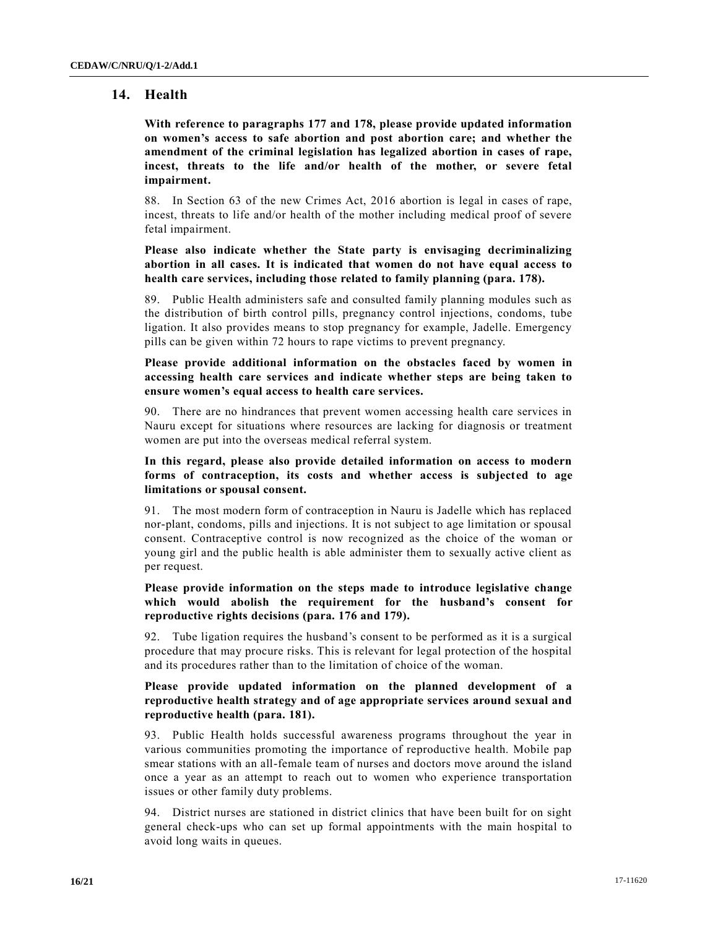# **14. Health**

**With reference to paragraphs 177 and 178, please provide updated information on women's access to safe abortion and post abortion care; and whether the amendment of the criminal legislation has legalized abortion in cases of rape, incest, threats to the life and/or health of the mother, or severe fetal impairment.** 

88. In Section 63 of the new Crimes Act, 2016 abortion is legal in cases of rape, incest, threats to life and/or health of the mother including medical proof of severe fetal impairment.

**Please also indicate whether the State party is envisaging decriminalizing abortion in all cases. It is indicated that women do not have equal access to health care services, including those related to family planning (para. 178).**

89. Public Health administers safe and consulted family planning modules such as the distribution of birth control pills, pregnancy control injections, condoms, tube ligation. It also provides means to stop pregnancy for example, Jadelle. Emergency pills can be given within 72 hours to rape victims to prevent pregnancy.

**Please provide additional information on the obstacles faced by women in accessing health care services and indicate whether steps are being taken to ensure women's equal access to health care services.**

90. There are no hindrances that prevent women accessing health care services in Nauru except for situations where resources are lacking for diagnosis or treatment women are put into the overseas medical referral system.

#### **In this regard, please also provide detailed information on access to modern forms of contraception, its costs and whether access is subjected to age limitations or spousal consent.**

91. The most modern form of contraception in Nauru is Jadelle which has replaced nor-plant, condoms, pills and injections. It is not subject to age limitation or spousal consent. Contraceptive control is now recognized as the choice of the woman or young girl and the public health is able administer them to sexually active client as per request.

#### **Please provide information on the steps made to introduce legislative change which would abolish the requirement for the husband's consent for reproductive rights decisions (para. 176 and 179).**

92. Tube ligation requires the husband's consent to be performed as it is a surgical procedure that may procure risks. This is relevant for legal protection of the hospital and its procedures rather than to the limitation of choice of the woman.

#### **Please provide updated information on the planned development of a reproductive health strategy and of age appropriate services around sexual and reproductive health (para. 181).**

93. Public Health holds successful awareness programs throughout the year in various communities promoting the importance of reproductive health. Mobile pap smear stations with an all-female team of nurses and doctors move around the island once a year as an attempt to reach out to women who experience transportation issues or other family duty problems.

94. District nurses are stationed in district clinics that have been built for on sight general check-ups who can set up formal appointments with the main hospital to avoid long waits in queues.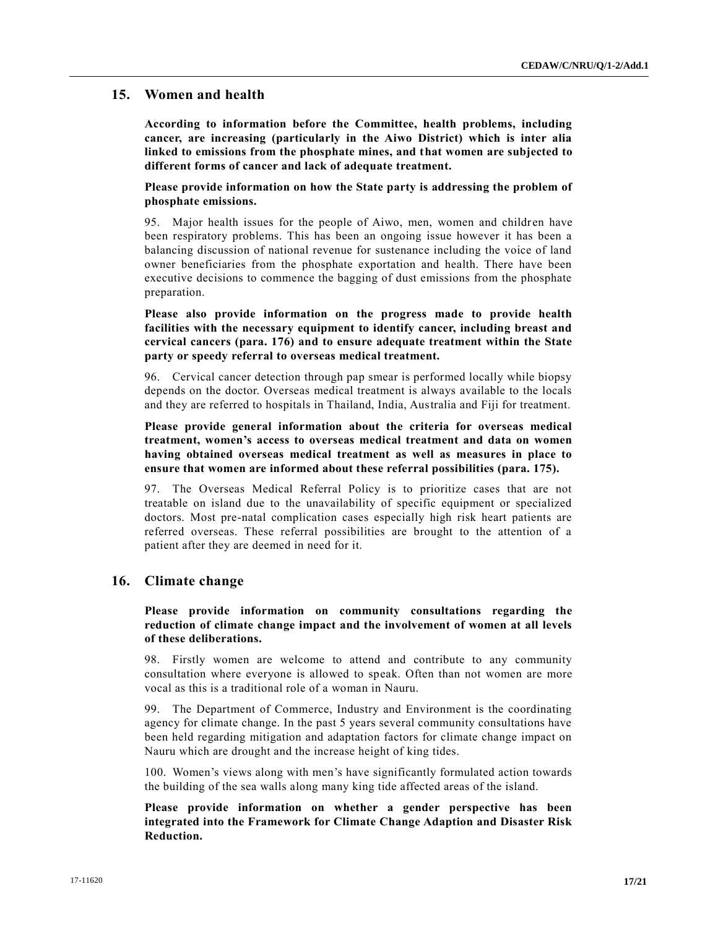# **15. Women and health**

**According to information before the Committee, health problems, including cancer, are increasing (particularly in the Aiwo District) which is inter alia linked to emissions from the phosphate mines, and that women are subjected to different forms of cancer and lack of adequate treatment.** 

**Please provide information on how the State party is addressing the problem of phosphate emissions.** 

95. Major health issues for the people of Aiwo, men, women and children have been respiratory problems. This has been an ongoing issue however it has been a balancing discussion of national revenue for sustenance including the voice of land owner beneficiaries from the phosphate exportation and health. There have been executive decisions to commence the bagging of dust emissions from the phosphate preparation.

**Please also provide information on the progress made to provide health facilities with the necessary equipment to identify cancer, including breast and cervical cancers (para. 176) and to ensure adequate treatment within the State party or speedy referral to overseas medical treatment.** 

96. Cervical cancer detection through pap smear is performed locally while biopsy depends on the doctor. Overseas medical treatment is always available to the locals and they are referred to hospitals in Thailand, India, Australia and Fiji for treatment.

**Please provide general information about the criteria for overseas medical treatment, women's access to overseas medical treatment and data on women having obtained overseas medical treatment as well as measures in place to ensure that women are informed about these referral possibilities (para. 175).**

97. The Overseas Medical Referral Policy is to prioritize cases that are not treatable on island due to the unavailability of specific equipment or specialized doctors. Most pre-natal complication cases especially high risk heart patients are referred overseas. These referral possibilities are brought to the attention of a patient after they are deemed in need for it.

## **16. Climate change**

#### **Please provide information on community consultations regarding the reduction of climate change impact and the involvement of women at all levels of these deliberations.**

98. Firstly women are welcome to attend and contribute to any community consultation where everyone is allowed to speak. Often than not women are more vocal as this is a traditional role of a woman in Nauru.

99. The Department of Commerce, Industry and Environment is the coordinating agency for climate change. In the past 5 years several community consultations have been held regarding mitigation and adaptation factors for climate change impact on Nauru which are drought and the increase height of king tides.

100. Women's views along with men's have significantly formulated action towards the building of the sea walls along many king tide affected areas of the island.

# **Please provide information on whether a gender perspective has been integrated into the Framework for Climate Change Adaption and Disaster Risk Reduction.**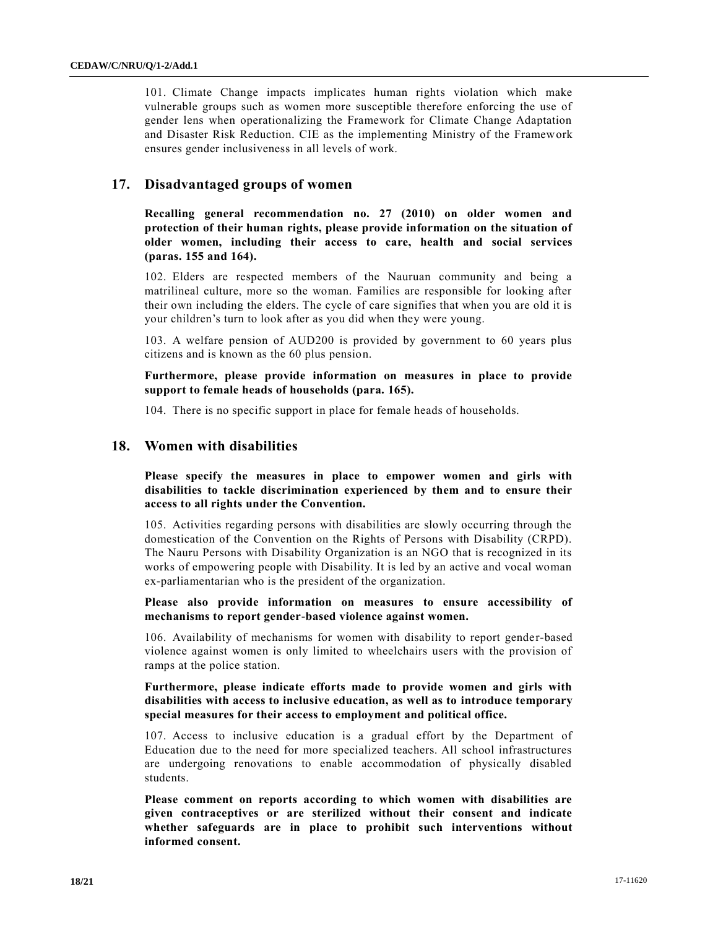101. Climate Change impacts implicates human rights violation which make vulnerable groups such as women more susceptible therefore enforcing the use of gender lens when operationalizing the Framework for Climate Change Adaptation and Disaster Risk Reduction. CIE as the implementing Ministry of the Framework ensures gender inclusiveness in all levels of work.

# **17. Disadvantaged groups of women**

**Recalling general recommendation no. 27 (2010) on older women and protection of their human rights, please provide information on the situation of older women, including their access to care, health and social services (paras. 155 and 164).** 

102. Elders are respected members of the Nauruan community and being a matrilineal culture, more so the woman. Families are responsible for looking after their own including the elders. The cycle of care signifies that when you are old it is your children's turn to look after as you did when they were young.

103. A welfare pension of AUD200 is provided by government to 60 years plus citizens and is known as the 60 plus pension.

**Furthermore, please provide information on measures in place to provide support to female heads of households (para. 165).** 

104. There is no specific support in place for female heads of households.

# **18. Women with disabilities**

**Please specify the measures in place to empower women and girls with disabilities to tackle discrimination experienced by them and to ensure their access to all rights under the Convention.**

105. Activities regarding persons with disabilities are slowly occurring through the domestication of the Convention on the Rights of Persons with Disability (CRPD). The Nauru Persons with Disability Organization is an NGO that is recognized in its works of empowering people with Disability. It is led by an active and vocal woman ex-parliamentarian who is the president of the organization.

**Please also provide information on measures to ensure accessibility of mechanisms to report gender-based violence against women.** 

106. Availability of mechanisms for women with disability to report gender-based violence against women is only limited to wheelchairs users with the provision of ramps at the police station.

### **Furthermore, please indicate efforts made to provide women and girls with disabilities with access to inclusive education, as well as to introduce temporary special measures for their access to employment and political office.**

107. Access to inclusive education is a gradual effort by the Department of Education due to the need for more specialized teachers. All school infrastructures are undergoing renovations to enable accommodation of physically disabled students.

**Please comment on reports according to which women with disabilities are given contraceptives or are sterilized without their consent and indicate whether safeguards are in place to prohibit such interventions without informed consent.**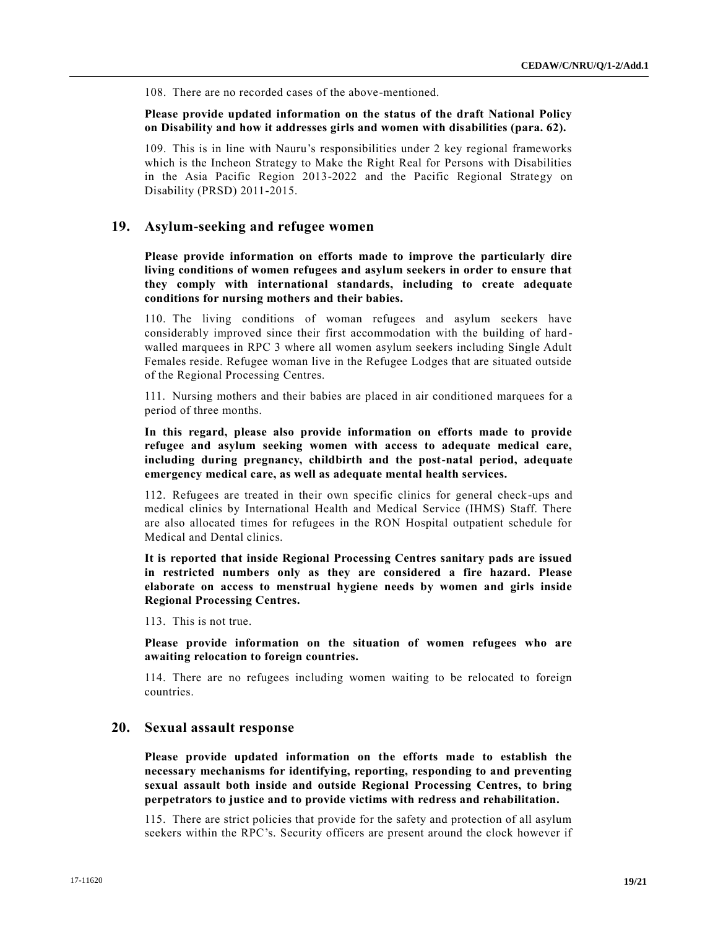108. There are no recorded cases of the above-mentioned.

**Please provide updated information on the status of the draft National Policy on Disability and how it addresses girls and women with disabilities (para. 62).**

109. This is in line with Nauru's responsibilities under 2 key regional frameworks which is the Incheon Strategy to Make the Right Real for Persons with Disabilities in the Asia Pacific Region 2013-2022 and the Pacific Regional Strategy on Disability (PRSD) 2011-2015.

# **19. Asylum-seeking and refugee women**

**Please provide information on efforts made to improve the particularly dire living conditions of women refugees and asylum seekers in order to ensure that they comply with international standards, including to create adequate conditions for nursing mothers and their babies.** 

110. The living conditions of woman refugees and asylum seekers have considerably improved since their first accommodation with the building of hard walled marquees in RPC 3 where all women asylum seekers including Single Adult Females reside. Refugee woman live in the Refugee Lodges that are situated outside of the Regional Processing Centres.

111. Nursing mothers and their babies are placed in air conditioned marquees for a period of three months.

**In this regard, please also provide information on efforts made to provide refugee and asylum seeking women with access to adequate medical care, including during pregnancy, childbirth and the post-natal period, adequate emergency medical care, as well as adequate mental health services.** 

112. Refugees are treated in their own specific clinics for general check-ups and medical clinics by International Health and Medical Service (IHMS) Staff. There are also allocated times for refugees in the RON Hospital outpatient schedule for Medical and Dental clinics.

**It is reported that inside Regional Processing Centres sanitary pads are issued in restricted numbers only as they are considered a fire hazard. Please elaborate on access to menstrual hygiene needs by women and girls inside Regional Processing Centres.** 

113. This is not true.

**Please provide information on the situation of women refugees who are awaiting relocation to foreign countries.**

114. There are no refugees including women waiting to be relocated to foreign countries.

## **20. Sexual assault response**

**Please provide updated information on the efforts made to establish the necessary mechanisms for identifying, reporting, responding to and preventing sexual assault both inside and outside Regional Processing Centres, to bring perpetrators to justice and to provide victims with redress and rehabilitation.** 

115. There are strict policies that provide for the safety and protection of all asylum seekers within the RPC's. Security officers are present around the clock however if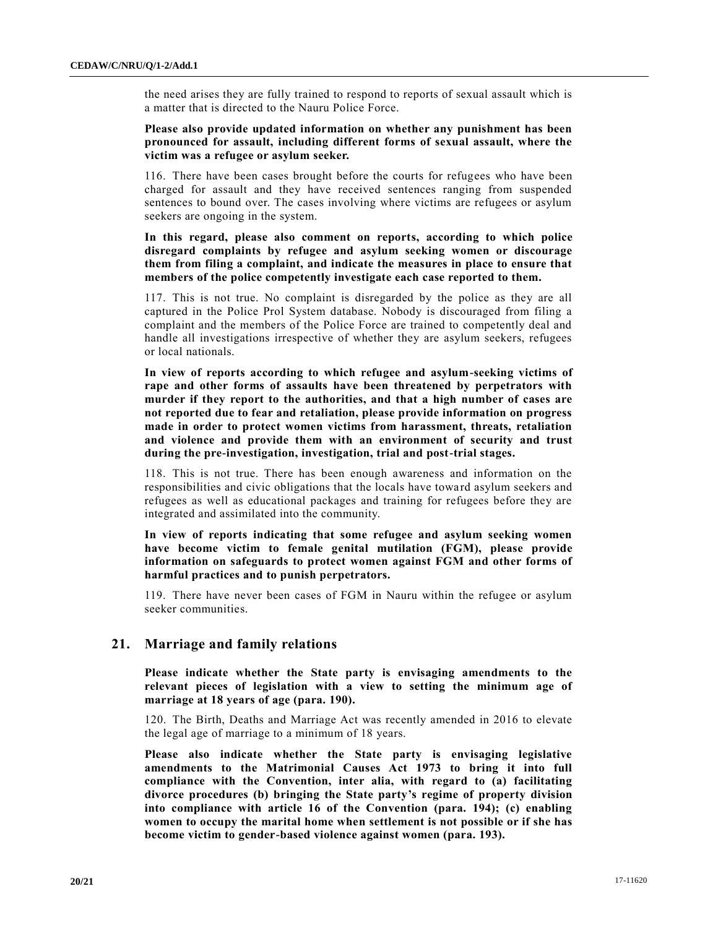the need arises they are fully trained to respond to reports of sexual assault which is a matter that is directed to the Nauru Police Force.

**Please also provide updated information on whether any punishment has been pronounced for assault, including different forms of sexual assault, where the victim was a refugee or asylum seeker.** 

116. There have been cases brought before the courts for refugees who have been charged for assault and they have received sentences ranging from suspended sentences to bound over. The cases involving where victims are refugees or asylum seekers are ongoing in the system.

**In this regard, please also comment on reports, according to which police disregard complaints by refugee and asylum seeking women or discourage them from filing a complaint, and indicate the measures in place to ensure that members of the police competently investigate each case reported to them.** 

117. This is not true. No complaint is disregarded by the police as they are all captured in the Police Prol System database. Nobody is discouraged from filing a complaint and the members of the Police Force are trained to competently deal and handle all investigations irrespective of whether they are asylum seekers, refugees or local nationals.

**In view of reports according to which refugee and asylum-seeking victims of rape and other forms of assaults have been threatened by perpetrators with murder if they report to the authorities, and that a high number of cases are not reported due to fear and retaliation, please provide information on progress made in order to protect women victims from harassment, threats, retaliation and violence and provide them with an environment of security and trust during the pre-investigation, investigation, trial and post-trial stages.** 

118. This is not true. There has been enough awareness and information on the responsibilities and civic obligations that the locals have toward asylum seekers and refugees as well as educational packages and training for refugees before they are integrated and assimilated into the community.

**In view of reports indicating that some refugee and asylum seeking women have become victim to female genital mutilation (FGM), please provide information on safeguards to protect women against FGM and other forms of harmful practices and to punish perpetrators.** 

119. There have never been cases of FGM in Nauru within the refugee or asylum seeker communities.

# **21. Marriage and family relations**

**Please indicate whether the State party is envisaging amendments to the relevant pieces of legislation with a view to setting the minimum age of marriage at 18 years of age (para. 190).** 

120. The Birth, Deaths and Marriage Act was recently amended in 2016 to elevate the legal age of marriage to a minimum of 18 years.

**Please also indicate whether the State party is envisaging legislative amendments to the Matrimonial Causes Act 1973 to bring it into full compliance with the Convention, inter alia, with regard to (a) facilitating divorce procedures (b) bringing the State party's regime of property division into compliance with article 16 of the Convention (para. 194); (c) enabling women to occupy the marital home when settlement is not possible or if she has become victim to gender-based violence against women (para. 193).**